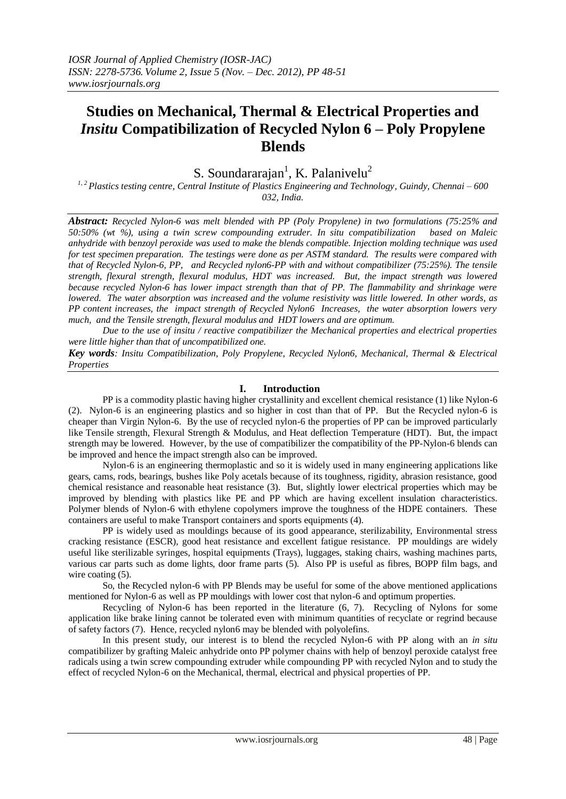# **Studies on Mechanical, Thermal & Electrical Properties and**  *Insitu* **Compatibilization of Recycled Nylon 6 – Poly Propylene Blends**

S. Soundararajan<sup>1</sup>, K. Palanivelu<sup>2</sup>

*1, 2 Plastics testing centre, Central Institute of Plastics Engineering and Technology, Guindy, Chennai – 600 032, India.*

*Abstract: Recycled Nylon-6 was melt blended with PP (Poly Propylene) in two formulations (75:25% and 50:50% (wt %), using a twin screw compounding extruder. In situ compatibilization based on Maleic anhydride with benzoyl peroxide was used to make the blends compatible. Injection molding technique was used for test specimen preparation. The testings were done as per ASTM standard. The results were compared with that of Recycled Nylon-6, PP, and Recycled nylon6-PP with and without compatibilizer (75:25%). The tensile strength, flexural strength, flexural modulus, HDT was increased. But, the impact strength was lowered because recycled Nylon-6 has lower impact strength than that of PP. The flammability and shrinkage were lowered. The water absorption was increased and the volume resistivity was little lowered. In other words, as PP content increases, the impact strength of Recycled Nylon6 Increases, the water absorption lowers very much, and the Tensile strength, flexural modulus and HDT lowers and are optimum.* 

*Due to the use of insitu / reactive compatibilizer the Mechanical properties and electrical properties were little higher than that of uncompatibilized one.*

*Key words: Insitu Compatibilization, Poly Propylene, Recycled Nylon6, Mechanical, Thermal & Electrical Properties*

### **I. Introduction**

PP is a commodity plastic having higher crystallinity and excellent chemical resistance (1) like Nylon-6 (2). Nylon-6 is an engineering plastics and so higher in cost than that of PP. But the Recycled nylon-6 is cheaper than Virgin Nylon-6. By the use of recycled nylon-6 the properties of PP can be improved particularly like Tensile strength, Flexural Strength & Modulus, and Heat deflection Temperature (HDT). But, the impact strength may be lowered. However, by the use of compatibilizer the compatibility of the PP-Nylon-6 blends can be improved and hence the impact strength also can be improved.

Nylon-6 is an engineering thermoplastic and so it is widely used in many engineering applications like gears, cams, rods, bearings, bushes like Poly acetals because of its toughness, rigidity, abrasion resistance, good chemical resistance and reasonable heat resistance (3). But, slightly lower electrical properties which may be improved by blending with plastics like PE and PP which are having excellent insulation characteristics. Polymer blends of Nylon-6 with ethylene copolymers improve the toughness of the HDPE containers. These containers are useful to make Transport containers and sports equipments (4).

PP is widely used as mouldings because of its good appearance, sterilizability, Environmental stress cracking resistance (ESCR), good heat resistance and excellent fatigue resistance. PP mouldings are widely useful like sterilizable syringes, hospital equipments (Trays), luggages, staking chairs, washing machines parts, various car parts such as dome lights, door frame parts (5). Also PP is useful as fibres, BOPP film bags, and wire coating (5).

So, the Recycled nylon-6 with PP Blends may be useful for some of the above mentioned applications mentioned for Nylon-6 as well as PP mouldings with lower cost that nylon-6 and optimum properties.

Recycling of Nylon-6 has been reported in the literature (6, 7). Recycling of Nylons for some application like brake lining cannot be tolerated even with minimum quantities of recyclate or regrind because of safety factors (7). Hence, recycled nylon6 may be blended with polyolefins.

In this present study, our interest is to blend the recycled Nylon-6 with PP along with an *in situ* compatibilizer by grafting Maleic anhydride onto PP polymer chains with help of benzoyl peroxide catalyst free radicals using a twin screw compounding extruder while compounding PP with recycled Nylon and to study the effect of recycled Nylon-6 on the Mechanical, thermal, electrical and physical properties of PP.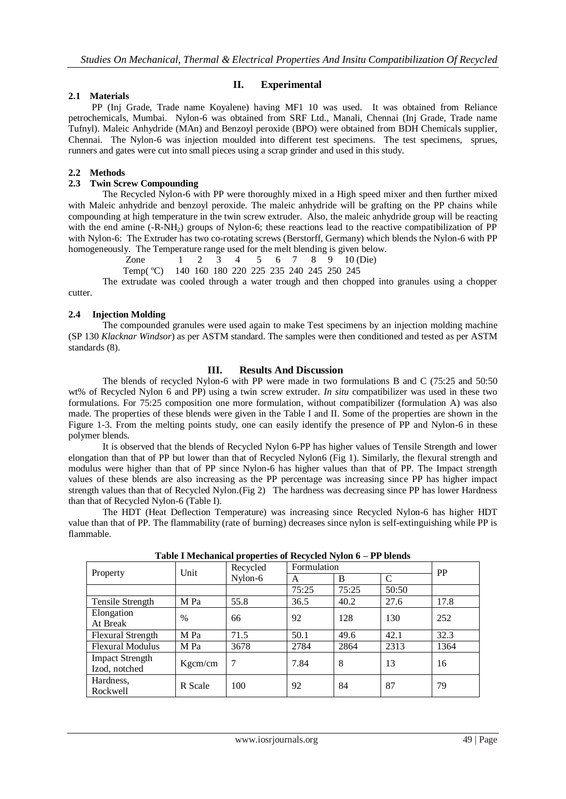### **II. Experimental**

### **2.1 Materials**

 PP (Inj Grade, Trade name Koyalene) having MF1 10 was used. It was obtained from Reliance petrochemicals, Mumbai. Nylon-6 was obtained from SRF Ltd., Manali, Chennai (Inj Grade, Trade name Tufnyl). Maleic Anhydride (MAn) and Benzoyl peroxide (BPO) were obtained from BDH Chemicals supplier, Chennai. The Nylon-6 was injection moulded into different test specimens. The test specimens, sprues, runners and gates were cut into small pieces using a scrap grinder and used in this study.

### **2.2 Methods**

### **2.3 Twin Screw Compounding**

The Recycled Nylon-6 with PP were thoroughly mixed in a High speed mixer and then further mixed with Maleic anhydride and benzoyl peroxide. The maleic anhydride will be grafting on the PP chains while compounding at high temperature in the twin screw extruder. Also, the maleic anhydride group will be reacting with the end amine (-R-NH<sub>2</sub>) groups of Nylon-6; these reactions lead to the reactive compatibilization of PP with Nylon-6: The Extruder has two co-rotating screws (Berstorff, Germany) which blends the Nylon-6 with PP homogeneously. The Temperature range used for the melt blending is given below.

Zone 1 2 3 4 5 6 7 8 9 10 (Die)

Temp( ºC) 140 160 180 220 225 235 240 245 250 245

The extrudate was cooled through a water trough and then chopped into granules using a chopper cutter.

## **2.4 Injection Molding**

The compounded granules were used again to make Test specimens by an injection molding machine (SP 130 *Klacknar Windsor*) as per ASTM standard. The samples were then conditioned and tested as per ASTM standards (8).

### **III. Results And Discussion**

The blends of recycled Nylon-6 with PP were made in two formulations B and C (75:25 and 50:50 wt% of Recycled Nylon 6 and PP) using a twin screw extruder. *In situ* compatibilizer was used in these two formulations. For 75:25 composition one more formulation, without compatibilizer (formulation A) was also made. The properties of these blends were given in the Table I and II. Some of the properties are shown in the Figure 1-3. From the melting points study, one can easily identify the presence of PP and Nylon-6 in these polymer blends.

It is observed that the blends of Recycled Nylon 6-PP has higher values of Tensile Strength and lower elongation than that of PP but lower than that of Recycled Nylon6 (Fig 1). Similarly, the flexural strength and modulus were higher than that of PP since Nylon-6 has higher values than that of PP. The Impact strength values of these blends are also increasing as the PP percentage was increasing since PP has higher impact strength values than that of Recycled Nylon.(Fig 2) The hardness was decreasing since PP has lower Hardness than that of Recycled Nylon-6 (Table I).

The HDT (Heat Deflection Temperature) was increasing since Recycled Nylon-6 has higher HDT value than that of PP. The flammability (rate of burning) decreases since nylon is self-extinguishing while PP is flammable.

| Property                | Unit    | Recycled | Formulation |       |                             | PP   |
|-------------------------|---------|----------|-------------|-------|-----------------------------|------|
|                         |         | Nylon-6  | A           | B     | $\mathcal{C}_{\mathcal{C}}$ |      |
|                         |         |          | 75:25       | 75:25 | 50:50                       |      |
| Tensile Strength        | M Pa    | 55.8     | 36.5        | 40.2  | 27.6                        | 17.8 |
| Elongation              | %       | 66       | 92          | 128   | 130                         | 252  |
| At Break                |         |          |             |       |                             |      |
| Flexural Strength       | M Pa    | 71.5     | 50.1        | 49.6  | 42.1                        | 32.3 |
| <b>Flexural Modulus</b> | M Pa    | 3678     | 2784        | 2864  | 2313                        | 1364 |
| <b>Impact Strength</b>  |         | 7        | 7.84        | 8     | 13                          | 16   |
| Izod, notched           | Kgcm/cm |          |             |       |                             |      |
| Hardness,               | R Scale | 100      | 92          | 84    | 87                          | 79   |
| Rockwell                |         |          |             |       |                             |      |

**Table I Mechanical properties of Recycled Nylon 6 – PP blends**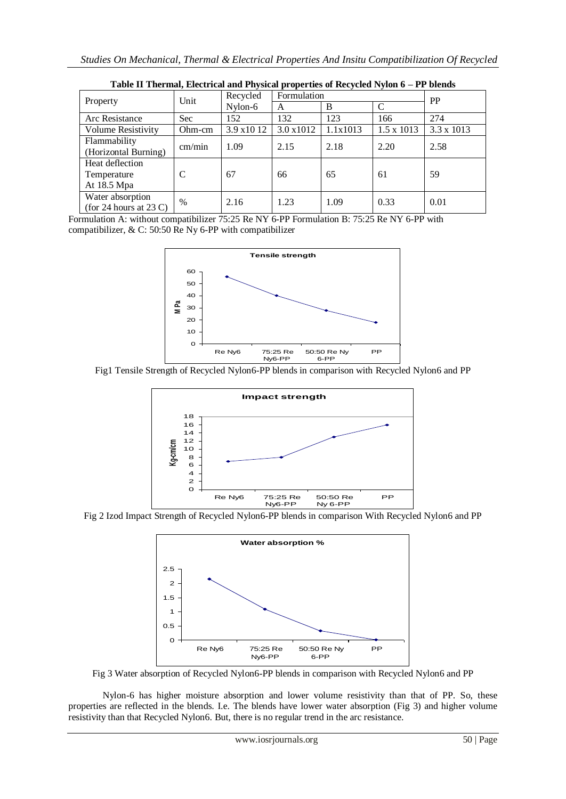| which is a morning meeting man any $\mathcal{L}$ is the properties of all $\mathcal{L}$ and $\mathcal{L}$ , $\mathcal{L}$<br>Property | Unit       | Formulation<br>Recycled |                   |          |                   | <b>PP</b>  |
|---------------------------------------------------------------------------------------------------------------------------------------|------------|-------------------------|-------------------|----------|-------------------|------------|
|                                                                                                                                       |            | $N$ ylon-6              | A                 | B        |                   |            |
| Arc Resistance                                                                                                                        | <b>Sec</b> | 152                     | 132               | 123      | 166               | 274        |
| Volume Resistivity                                                                                                                    | Ohm-cm     | 3.9x1012                | $3.0 \times 1012$ | 1.1x1013 | $1.5 \times 1013$ | 3.3 x 1013 |
| Flammability<br>(Horizontal Burning)                                                                                                  | cm/min     | 1.09                    | 2.15              | 2.18     | 2.20              | 2.58       |
| Heat deflection<br>Temperature<br>At 18.5 Mpa                                                                                         | C          | 67                      | 66                | 65       | 61                | 59         |
| Water absorption<br>(for 24 hours at 23 C)                                                                                            | %          | 2.16                    | 1.23              | 1.09     | 0.33              | 0.01       |

| Table II Thermal, Electrical and Physical properties of Recycled Nylon 6 – PP blends |  |  |  |
|--------------------------------------------------------------------------------------|--|--|--|
|--------------------------------------------------------------------------------------|--|--|--|

Formulation A: without compatibilizer 75:25 Re NY 6-PP Formulation B: 75:25 Re NY 6-PP with compatibilizer, & C: 50:50 Re Ny 6-PP with compatibilizer



Fig1 Tensile Strength of Recycled Nylon6-PP blends in comparison with Recycled Nylon6 and PP



Fig 2 Izod Impact Strength of Recycled Nylon6-PP blends in comparison With Recycled Nylon6 and PP



Fig 3 Water absorption of Recycled Nylon6-PP blends in comparison with Recycled Nylon6 and PP

Nylon-6 has higher moisture absorption and lower volume resistivity than that of PP. So, these properties are reflected in the blends. I.e. The blends have lower water absorption (Fig 3) and higher volume resistivity than that Recycled Nylon6. But, there is no regular trend in the arc resistance.